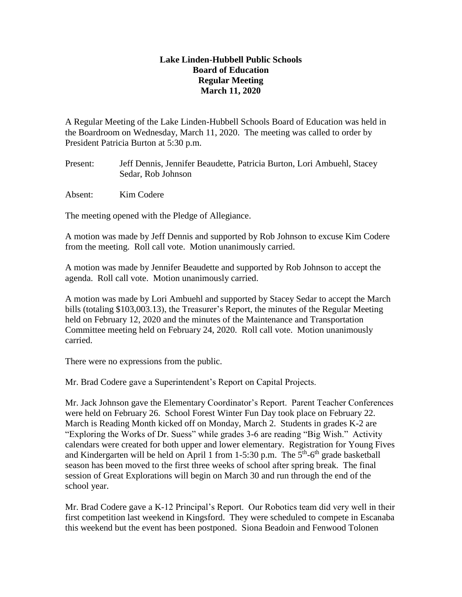## **Lake Linden-Hubbell Public Schools Board of Education Regular Meeting March 11, 2020**

A Regular Meeting of the Lake Linden-Hubbell Schools Board of Education was held in the Boardroom on Wednesday, March 11, 2020. The meeting was called to order by President Patricia Burton at 5:30 p.m.

- Present: Jeff Dennis, Jennifer Beaudette, Patricia Burton, Lori Ambuehl, Stacey Sedar, Rob Johnson
- Absent: Kim Codere

The meeting opened with the Pledge of Allegiance.

A motion was made by Jeff Dennis and supported by Rob Johnson to excuse Kim Codere from the meeting. Roll call vote. Motion unanimously carried.

A motion was made by Jennifer Beaudette and supported by Rob Johnson to accept the agenda. Roll call vote. Motion unanimously carried.

A motion was made by Lori Ambuehl and supported by Stacey Sedar to accept the March bills (totaling \$103,003.13), the Treasurer's Report, the minutes of the Regular Meeting held on February 12, 2020 and the minutes of the Maintenance and Transportation Committee meeting held on February 24, 2020. Roll call vote. Motion unanimously carried.

There were no expressions from the public.

Mr. Brad Codere gave a Superintendent's Report on Capital Projects.

Mr. Jack Johnson gave the Elementary Coordinator's Report. Parent Teacher Conferences were held on February 26. School Forest Winter Fun Day took place on February 22. March is Reading Month kicked off on Monday, March 2. Students in grades K-2 are "Exploring the Works of Dr. Suess" while grades 3-6 are reading "Big Wish." Activity calendars were created for both upper and lower elementary. Registration for Young Fives and Kindergarten will be held on April 1 from  $1-5:30$  p.m. The  $5<sup>th</sup>-6<sup>th</sup>$  grade basketball season has been moved to the first three weeks of school after spring break. The final session of Great Explorations will begin on March 30 and run through the end of the school year.

Mr. Brad Codere gave a K-12 Principal's Report. Our Robotics team did very well in their first competition last weekend in Kingsford. They were scheduled to compete in Escanaba this weekend but the event has been postponed. Siona Beadoin and Fenwood Tolonen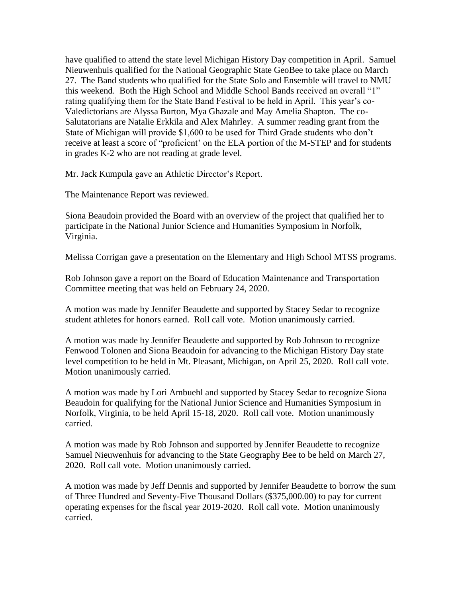have qualified to attend the state level Michigan History Day competition in April. Samuel Nieuwenhuis qualified for the National Geographic State GeoBee to take place on March 27. The Band students who qualified for the State Solo and Ensemble will travel to NMU this weekend. Both the High School and Middle School Bands received an overall "1" rating qualifying them for the State Band Festival to be held in April. This year's co-Valedictorians are Alyssa Burton, Mya Ghazale and May Amelia Shapton. The co-Salutatorians are Natalie Erkkila and Alex Mahrley. A summer reading grant from the State of Michigan will provide \$1,600 to be used for Third Grade students who don't receive at least a score of "proficient' on the ELA portion of the M-STEP and for students in grades K-2 who are not reading at grade level.

Mr. Jack Kumpula gave an Athletic Director's Report.

The Maintenance Report was reviewed.

Siona Beaudoin provided the Board with an overview of the project that qualified her to participate in the National Junior Science and Humanities Symposium in Norfolk, Virginia.

Melissa Corrigan gave a presentation on the Elementary and High School MTSS programs.

Rob Johnson gave a report on the Board of Education Maintenance and Transportation Committee meeting that was held on February 24, 2020.

A motion was made by Jennifer Beaudette and supported by Stacey Sedar to recognize student athletes for honors earned. Roll call vote. Motion unanimously carried.

A motion was made by Jennifer Beaudette and supported by Rob Johnson to recognize Fenwood Tolonen and Siona Beaudoin for advancing to the Michigan History Day state level competition to be held in Mt. Pleasant, Michigan, on April 25, 2020. Roll call vote. Motion unanimously carried.

A motion was made by Lori Ambuehl and supported by Stacey Sedar to recognize Siona Beaudoin for qualifying for the National Junior Science and Humanities Symposium in Norfolk, Virginia, to be held April 15-18, 2020. Roll call vote. Motion unanimously carried.

A motion was made by Rob Johnson and supported by Jennifer Beaudette to recognize Samuel Nieuwenhuis for advancing to the State Geography Bee to be held on March 27, 2020. Roll call vote. Motion unanimously carried.

A motion was made by Jeff Dennis and supported by Jennifer Beaudette to borrow the sum of Three Hundred and Seventy-Five Thousand Dollars (\$375,000.00) to pay for current operating expenses for the fiscal year 2019-2020. Roll call vote. Motion unanimously carried.